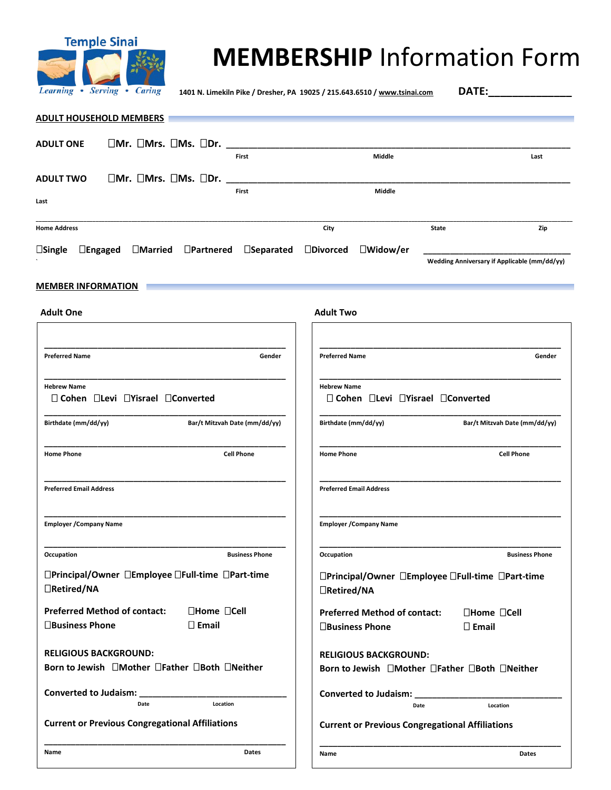

# **MEMBERSHIP** Information Form

**1401 N. Limekiln Pike / Dresher, PA 19025 / 215.643.6510 [/ www.tsinai.com](http://www.tsinai.com/) DATE:\_\_\_\_\_\_\_\_\_\_\_\_\_\_**

| <b>ADULT HOUSEHOLD MEMBERS</b>                                                                        |                                                                      |                       |
|-------------------------------------------------------------------------------------------------------|----------------------------------------------------------------------|-----------------------|
|                                                                                                       |                                                                      |                       |
| $\Box$ Mr. $\Box$ Mrs. $\Box$ Ms. $\Box$ Dr. $\_\_\_\_\_\_\_\_\_\_\_\_\_\_\_\_\_$<br><b>ADULT ONE</b> |                                                                      |                       |
| First                                                                                                 | Middle                                                               | Last                  |
| $\Box$ Mr. $\Box$ Mrs. $\Box$ Ms. $\Box$ Dr.<br><b>ADULT TWO</b>                                      |                                                                      |                       |
| First<br>Last                                                                                         | Middle                                                               |                       |
|                                                                                                       |                                                                      |                       |
| <b>Home Address</b>                                                                                   | City<br><b>State</b>                                                 | Zip                   |
| $\Box$ Engaged $\Box$ Married $\Box$ Partnered $\Box$ Separated<br>$\square$ Single                   | $\square$ Divorced<br>$\Box$ Widow/er                                |                       |
|                                                                                                       | Wedding Anniversary if Applicable (mm/dd/yy)                         |                       |
|                                                                                                       |                                                                      |                       |
| <b>MEMBER INFORMATION</b>                                                                             |                                                                      |                       |
| <b>Adult One</b>                                                                                      | <b>Adult Two</b>                                                     |                       |
|                                                                                                       |                                                                      |                       |
|                                                                                                       |                                                                      |                       |
| Gender<br><b>Preferred Name</b>                                                                       | <b>Preferred Name</b>                                                | Gender                |
|                                                                                                       |                                                                      |                       |
| <b>Hebrew Name</b>                                                                                    | <b>Hebrew Name</b>                                                   |                       |
| □ Cohen □Levi □Yisrael □Converted                                                                     | □ Cohen □Levi □Yisrael □Converted                                    |                       |
| Bar/t Mitzvah Date (mm/dd/yy)<br>Birthdate (mm/dd/yy)                                                 | Birthdate (mm/dd/yy)<br>Bar/t Mitzvah Date (mm/dd/yy)                |                       |
|                                                                                                       |                                                                      |                       |
| <b>Home Phone</b><br><b>Cell Phone</b>                                                                | <b>Home Phone</b>                                                    | <b>Cell Phone</b>     |
|                                                                                                       |                                                                      |                       |
| <b>Preferred Email Address</b>                                                                        | <b>Preferred Email Address</b>                                       |                       |
|                                                                                                       |                                                                      |                       |
|                                                                                                       |                                                                      |                       |
| <b>Employer / Company Name</b>                                                                        | <b>Employer / Company Name</b>                                       |                       |
| Occupation<br><b>Business Phone</b>                                                                   | Occupation                                                           | <b>Business Phone</b> |
|                                                                                                       |                                                                      |                       |
| □Principal/Owner □Employee □Full-time □Part-time                                                      | □Principal/Owner □Employee □Full-time □Part-time                     |                       |
| □Retired/NA                                                                                           | □Retired/NA                                                          |                       |
| □Home □Cell<br><b>Preferred Method of contact:</b>                                                    | $\square$ Home $\square$ Cell<br><b>Preferred Method of contact:</b> |                       |
| $\square$ Email<br>□Business Phone                                                                    | $\square$ Email<br>□Business Phone                                   |                       |
|                                                                                                       |                                                                      |                       |
| <b>RELIGIOUS BACKGROUND:</b>                                                                          | <b>RELIGIOUS BACKGROUND:</b>                                         |                       |
| Born to Jewish □Mother □Father □Both □Neither                                                         | Born to Jewish □Mother □Father □Both □Neither                        |                       |
| Converted to Judaism: _______________                                                                 | Converted to Judaism: ____________                                   |                       |
| Location<br>Date                                                                                      | Location<br>Date                                                     |                       |
| <b>Current or Previous Congregational Affiliations</b>                                                | <b>Current or Previous Congregational Affiliations</b>               |                       |

**\_\_\_\_\_\_\_\_\_\_\_\_\_\_\_\_\_\_\_\_\_\_\_\_\_\_\_\_\_\_\_\_\_\_\_\_\_\_\_\_\_\_\_\_\_\_\_\_\_\_\_\_\_\_**

**\_\_\_\_\_\_\_\_\_\_\_\_\_\_\_\_\_\_\_\_\_\_\_\_\_\_\_\_\_\_\_\_\_\_\_\_\_\_\_\_\_\_\_\_\_\_\_\_\_\_\_\_\_\_**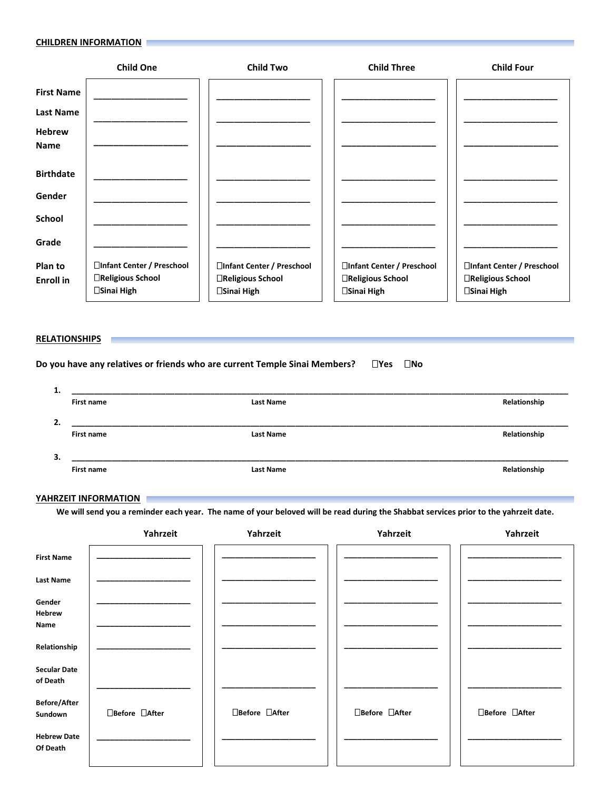#### **CHILDREN INFORMATION**

|                   | <b>Child One</b>                 | <b>Child Two</b>                          | <b>Child Three</b>                        | <b>Child Four</b>                |
|-------------------|----------------------------------|-------------------------------------------|-------------------------------------------|----------------------------------|
| <b>First Name</b> |                                  |                                           |                                           |                                  |
| <b>Last Name</b>  |                                  |                                           |                                           |                                  |
| <b>Hebrew</b>     |                                  |                                           |                                           |                                  |
| <b>Name</b>       |                                  |                                           |                                           |                                  |
| <b>Birthdate</b>  |                                  |                                           |                                           |                                  |
| Gender            |                                  |                                           |                                           |                                  |
| School            |                                  |                                           |                                           |                                  |
| Grade             |                                  |                                           |                                           |                                  |
| Plan to           | □Infant Center / Preschool       | □Infant Center / Preschool                | □Infant Center / Preschool                | □Infant Center / Preschool       |
| <b>Enroll</b> in  | □Religious School<br>□Sinai High | □Religious School<br>$\square$ Sinai High | □Religious School<br>$\square$ Sinai High | □Religious School<br>□Sinai High |

### **RELATIONSHIPS**

**Do you have any relatives or friends who are current Temple Sinai Members? IYes**  $\Box$  **No** 

| First name | <b>Last Name</b> | Relationship     |
|------------|------------------|------------------|
|            |                  |                  |
| First name | <b>Last Name</b> | Relationship     |
|            |                  |                  |
|            |                  |                  |
|            |                  | Relationship     |
|            | First name       | <b>Last Name</b> |

### **YAHRZEIT INFORMATION**

**We will send you a reminder each year. The name of your beloved will be read during the Shabbat services prior to the yahrzeit date.**

|                                 | Yahrzeit       | Yahrzeit       | Yahrzeit       | Yahrzeit       |
|---------------------------------|----------------|----------------|----------------|----------------|
| <b>First Name</b>               |                |                |                |                |
| <b>Last Name</b>                |                |                |                |                |
| Gender<br>Hebrew<br>Name        |                |                |                |                |
| Relationship                    |                |                |                |                |
| <b>Secular Date</b><br>of Death |                |                |                |                |
| <b>Before/After</b><br>Sundown  | □Before □After | □Before □After | □Before □After | □Before □After |
| <b>Hebrew Date</b><br>Of Death  |                |                |                |                |